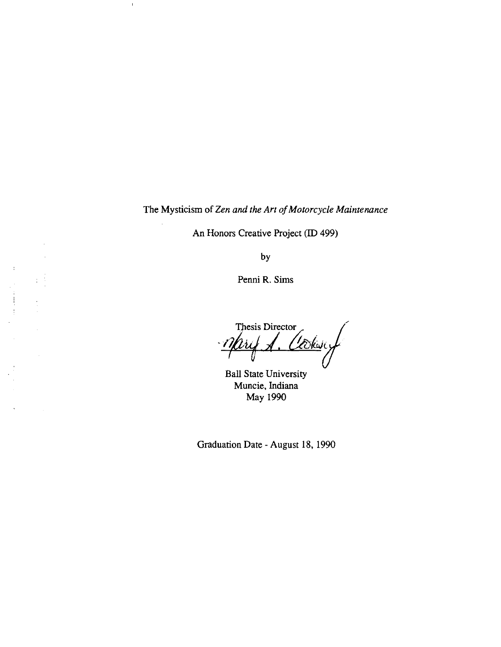The Mysticism of *Zen and the Art of Motorcycle Maintenance* 

 $\mathbb T$ 

 $\bar{f}$ 

ă  $\ddot{\phantom{a}}$ 

 $\ddot{\phantom{0}}$ 

 $\hat{\mathbf{v}}$ 

 $\sim$ 

An Honors Creative Project (ID 499)

by

Penni R. Sims

Thesis Director Cooksy 'inf  $\overline{y}$ 

Ball State University Muncie, Indiana May 1990

Graduation Date - August 18, 1990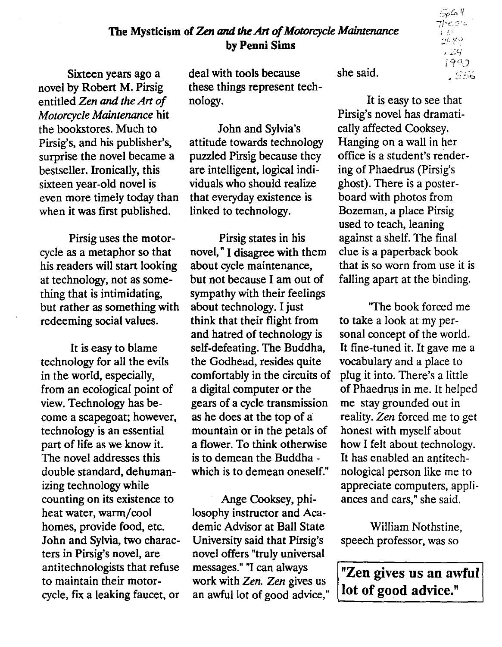# The Mysticism of *Zen and* the *Art of Motorcycle Maintenance*  by Penni Sims

Sixteen years ago a novel by Robert M. Pirsig entitled *Zen* and *the Art of Motorcycle Maintenance* hit the bookstores. Much to Pirsig's, and his publisher's, surprise the novel became a bestseller. Ironically, this sixteen year-old novel is even more timely today than when it was first published.

Pirsig uses the motorcycle as a metaphor so that his readers will start looking at technology, not as something that is intimidating, but rather as something with redeeming social values.

It is easy to blame technology for all the evils in the world, especially, from an ecological point of view. Technology has become a scapegoat; however, technology is an essential part of life as we know it. The novel addresses this double standard, dehumanizing technology while counting on its existence to heat water, warm/cool homes, provide food, etc. John and Sylvia, two characters in Pirsig's novel, are antitechnologists that refuse to maintain their motorcycle, fix a leaking faucet, or deal with tools because these things represent technology.

John and Sylvia's attitude towards technology puzzled Pirsig because they are intelligent, logical individuals who should realize that everyday existence is linked to technology.

Pirsig states in his novel, " I disagree with them about cycle maintenance, but not because 1 am out of sympathy with their feelings about technology. I just think that their flight from and hatred of technology is self-defeating. The Buddha, the Godhead, resides quite comfortably in the circuits of a digital computer or the gears of a cycle transmission as he does at the top of a mountain or in the petals of a flower. To think otherwise is to demean the Buddha which is to demean oneself."

Ange Cooksey, philosophy instructor and Academic Advisor at Ball State University said that Pirsig's novel offers "truly universal messages." "I can always work with *Zen. Zen* gives us an awful lot of good advice," she said.

It is easy to see that Pirsig's novel has dramatically affected Cooksey. Hanging on a wall in her office is a student's rendering of Phaedrus (Pirsig's ghost). There is a posterboard with photos from Bozeman, a place Pirsig used to teach, leaning against a shelf. The final clue is a paperback book that is so worn from use it is falling apart at the binding.

'The book forced me to take a look at my personal concept of the world. It fine-tuned it. It gave me a vocabulary and a place to plug it into. There's a little of Phaedrus in me. It helped me stay grounded out in reality. *Zen* forced me to get honest with myself about how 1 felt about technology. It has enabled an antitechnological person like me to appreciate computers, appliances and cars," she said.

William Nothstine, speech professor, was so

"Zen gives us an awful lot of good advice."

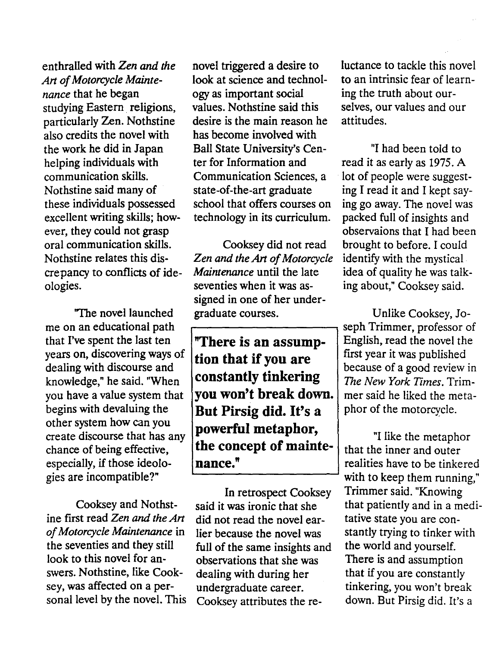enthralled with *Zen and the* novel triggered a desire to luctance to tackle this novel also credits the novel with has become involved with ever, they could not grasp observaions that I had been

me on an educational path  $\rightarrow$  seph Trimmer, professor of that I've spent the last ten **"There is an assump-** English, read the novel the years on, discovering ways of  $\begin{vmatrix} \mathbf{f} & \mathbf{f} & \mathbf{f} \\ \mathbf{f} & \mathbf{f} & \mathbf{f} \\ \mathbf{f} & \mathbf{f} & \mathbf{f} \end{vmatrix}$  first year it was published especially, if those ideolo-<br>gies are incompatible?"<br>all the sep them running."<br>with to keep them running."

ine first read *Zen and the Art did not read the novel ear-* tative state you are con-<br>of Motorcycle Maintenance in lier because the novel was stantly trying to tinker w *of Motorcycle Maintenance* in lier because the novel was stantly trying to tinker with the seventies and they still full of the same insights and the world and yourself. the seventies and they still full of the same insights and look to this novel for an-<br>observations that she was look to this novel for an-<br>subservations that she was There is and assumption<br>swers. Nothstine, like Cook-<br>dealing with during her that if you are constantly sey, was affected on a per- undergraduate career. tinkering, you won't break

*Art of Motorcycle Mainte-* look at science and technol- to an intrinsic fear of learn*nance* that he began ogy as important social ing the truth about ourstudying Eastern religions, values. Nothstine said this selves, our values and our particularly Zen. Nothstine desire is the main reason he attitudes. the work he did in Japan Ball State University's Cen- "I had been told to helping individuals with ter for Information and read it as early as 1975. A communication skills. Communication Sciences, a lot of people were suggest-Nothstine said many of state-of-the-art graduate ing I read it and I kept saythese individuals possessed school that offers courses on ing go away. The novel was excellent writing skills; how- technology in its curriculum. packed full of insights and

oral communication skills. Cooksey did not read brought to before. I could Nothstine relates this dis- *Zen and the Art of Motorcycle* identify with the mystical. crepancy to conflicts of ide- *Maintenance* until the late idea of quality he was talkologies. seventies when it was as- ing about; Cooksey said. signed in one of her under- 'The novel launched graduate courses. Unlike Cooksey, Jo-

years on, discovering ways of  $\begin{bmatrix} \text{tion that if you are} \\ \text{dealing with discourse and} \end{bmatrix}$  first year it was published dealing with discourse and because of a good review in **constantly tinkering** knowledge," he said. "When *The New York Times.* Trimyou have a value system that **you won't break down.** mer said he liked the metabegins with devaluing the **But Pirsig did. It's a** phor of the motorcycle. other system how can you **powerful metaphor,** create discourse that has any "I like the metaphor chance of being effective, **the concept of mainte-** that the inner and outer

Cooksey and Nothst- said it was ironic that she that patiently and in a medidealing with during her that if you are constantly sonal level by the novel. This Cooksey attributes the re- down. But Pirsig did. It's a

with to keep them running," In retrospect Cooksey Trimmer said. "Knowing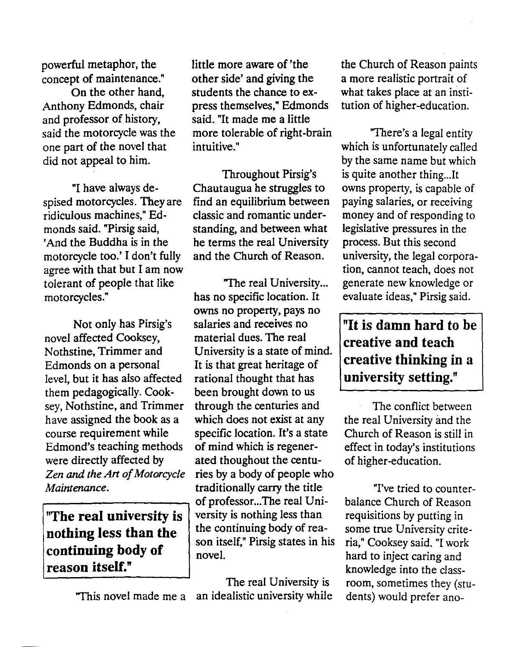and professor of history, said. "It made me a little

spised motorcycles. They are ridiculous machines." Edmonds said. "Pirsig said, standing, and between what legislative pressures in the 'And the Buddha is in the he terms the real University process. But this second motorcycle too.' I don't fully and the Church of Reason. university, the legal corpora-<br>agree with that but I am now the church of Reason. annot teach, does not agree with that but I am now tolerant of people that like "The real University... generate new knowledge or motorcycles." has no specific location. It evaluate ideas," Pirsig said. motorcycles." has no specific location. It

Not only has Pirsig's salaries and receives no **The instant is damn hard to be** novel affected Cooksey, material dues. The real novel affected Cooksey, material dues. The real creative and teach<br>Nothstine, Trimmer and University is a state of mind. Rothstine, Trimmer and University is a state of mind. creative thinking in a Edmonds on a personal It is that great heritage of level, but it has also affected rational thought that has **university setting.**" them pedagogically. Cook- been brought down to us sey, Nothstine, and Trimmer through the centuries and The conflict between have assigned the book as a which does not exist at any the real University and the course requirement while specific location. It's a state Church of Reason is still in Edmond's teaching methods of mind which is regener-<br>were directly affected by ated thoughout the centu-<br>of higher-education. *Zen and the Art of Motorcycle* ries by a body of people who *Maintenance.* The traditionally carry the title T've tried to counter-

nothing less than the  $t_{\text{non-}$  the continuing body or rea-<br>some true University crite-<br>in the son itself," Pirsig states in his ria," Cooksey said. "I work continuing body of novel.  $\begin{array}{c|c|c|c|c} \text{1.4} & \text{2.4} & \text{2.4} & \text{2.4} \\ \text{2.4} & \text{2.4} & \text{2.4} & \text{2.4} \\ \text{2.4} & \text{2.4} & \text{2.4} & \text{2.4} \\ \text{2.4} & \text{2.4} & \text{2.4} & \text{2.4} \\ \text{2.4} & \text{2.4} & \text{2.4} & \text{2.4} \\ \text{2.4} & \text{2.4} & \text{$ 

powerful metaphor, the little more aware of 'the the Church of Reason paints concept of maintenance." other side' and giving the a more realistic portrait of On the other hand, students the chance to ex-<br>What takes place at an institution On the other hand, students the chance to ex-<br>Anthony Edmonds, chair press themselves," Edmonds tution of higher-education. said the motorcycle was the more tolerable of right-brain "There's a legal entity one part of the novel that intuitive." which is unfortunately called

"I have always de-<br>I motorcycles. They are find an equilibrium between paying salaries, or receiving classic and romantic under- money and of responding to

owns no property, pays no ated thoughout the centu- of higher-education. of professor...The real Uni-<br>versity is nothing less than requisitions by putting in **"The real university is** versity is nothing less than requisitions by putting in nothing less than the the continuing body of rea-<br>nothing less than the the continuing body of rea-<br>none true University crite-

"This novel made me a an idealistic university while dents) would prefer ano-

tution of higher-education.

did not appeal to him. by the same name but which Throughout Pirsig's is quite another thing...It

knowledge into the class-The real University is room, sometimes they (stu-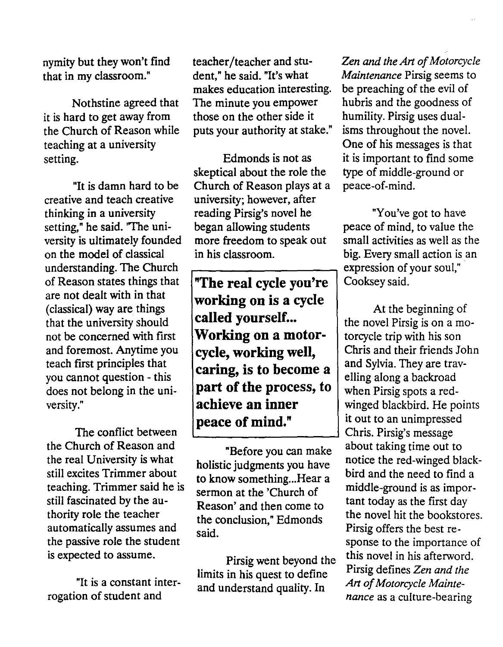the Church of Reason while puts your authority at stake."<br>teaching at a university

creative and teach creative university; however, after thinking in a university reading Pirsig's novel he "You've got to have setting," he said. "The uni-<br>began allowing students peace of mind, to value the on the model of classical in his classroom. big. Every small action is an understanding. The Church expression of your soul," of Reason states things that **"The real cycle you're** Cooksey said.<br>are not dealt with in that you cannot question - this

The conflict between Christen Chris. Pirsig's message the Church of Reason and<br>the real University is what  $\frac{1}{2}$  holistic independent you have notice the red-winged blackthe real University is what holistic judgments you have notice the red-winged black<br>still excites Trimmer about the linew compthise. Here we bird and the need to find a still excites Trimmer about to know something... Hear a beaching. Trimmer said he is teaching. Trimmer said he is sermon at the 'Church of middle-ground is as impor-<br>still fascinated by the au-<br>peasen' and then sermo to tant today as the first day still fascinated by the au-<br>the season' and then come to the novel hit the bookstor<br>the novel hit the bookstor automatically assumes and<br>the passive role the student said.

"It is a constant inter-<br>rogation of student and

that in my classroom." dent," he said. "It's what *Maintenance* Pirsig seems to makes education interesting. be preaching of the evil of makes education interesting. Nothstine agreed that The minute you empower hubris and the goodness of it is hard to get away from those on the other side it humility. Pirsig uses dual-<br>the Church of Reason while puts your authority at stake." isms throughout the novel.

setting. Edmonds is not as it is important to find some<br>skeptical about the role the type of middle-ground or skeptical about the role the "It is damn hard to be Church of Reason plays at a peace-of-mind.

are not dealt with in that **working on is a cycle** <br>(classical) way are things **called yourself...** At the beginning of the novel Pirsig is on a monot be concerned with first **Working on a motor-** | torcycle trip with his son and foremost. Anytime you **cycle, working well,** Chris and their friends John teach first principles that **conting is to become** a and Sylvia. They are travcaring, is to become a  $\vert$  and Sylvia. They are travdoes not belong in the uni-<br> **part of the process, to** when Pirsig spots a red-<br> **part of the process, to** winged blackbird. He points winged blackbird. versity." **achieve an inner winged blackbird. He points peace of mind."** | it out to an unimpressed

limits in his quest to define Pirsig defines *Zen and the* and understand quality In *Art of Motorcycle Mainte*-

nymity but they won't find teacher/teacher and stu-<br>that in my classroom." dent." he said. "It's what Maintenance Pirsig seems to One of his messages is that

versity is ultimately founded more freedom to speak out small activities as well as the

the conclusion," Edmonds the novel hit the bookstores.<br>
Firsig offers the best response to the importance of is expected to assume.<br>
Pirsig went beyond the this novel in his afterword.<br>
limits in his quest to define Pirsig defines Zen and the *nance* as a culture-bearing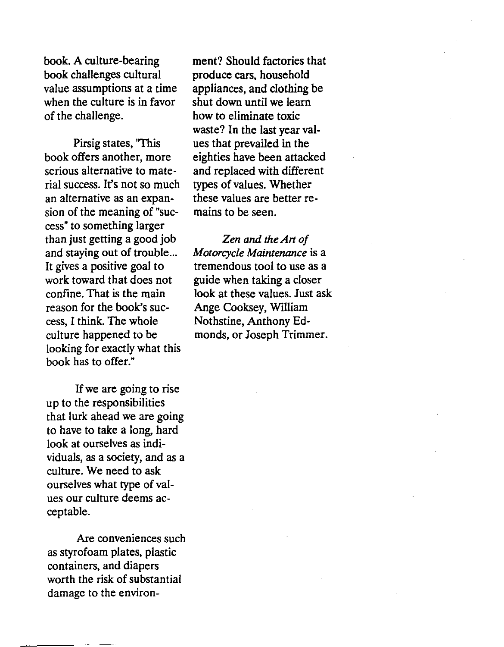book. A culture-bearing book challenges cultural value assumptions at a time when the culture is in favor of the challenge.

Pirsig states, 'This book offers another, more serious alternative to material success. It's not so much an alternative as an expansion of the meaning of "success" to something larger than just getting a good job and staying out of trouble... It gives a positive goal to work toward that does not confine. That is the main reason for the book's success, I think. The whole culture happened to be looking for exactly what this book has to offer."

If we are going to rise up to the responsibilities that lurk ahead we are going to have to take a long, hard look at ourselves as individuals, as a society, and as a culture. We need to ask ourselves what type of values our culture deems acceptable.

Are conveniences such as styrofoam plates, plastic containers, and diapers worth the risk of substantial damage to the environ-

ment? Should factories that produce cars, household appliances, and clothing be shut down until we learn how to eliminate toxic waste? In the last year values that prevailed in the eighties have been attacked and replaced with different types of values. Whether these values are better remains to be seen.

*Zen* and *the Art of Motorcycle Maintenance* is a tremendous tool to use as a guide when taking a closer look at these values. Just ask Ange Cooksey, William Nothstine, Anthony Edmonds, or Joseph Trimmer.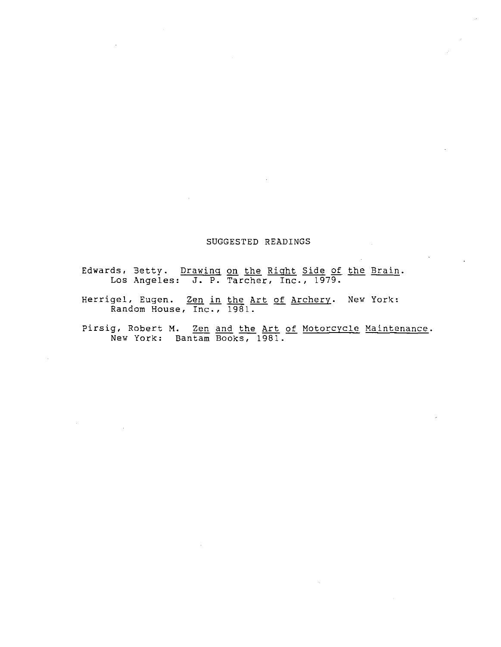#### SUGGESTED READINGS

Edwards, 3etty. Drawing on the Right Side of the Brain. Los Angeles: **J.** P. Tarcher, Inc., 1979.

Herrigel, Eugen. <u>Zen in the Art of Archery</u>. New York: andom House, Inc., 1981.

pirsig, Robert **M.** Zen and the Art of Motorcycle Maintenance. New York: Bantam Books, 1981.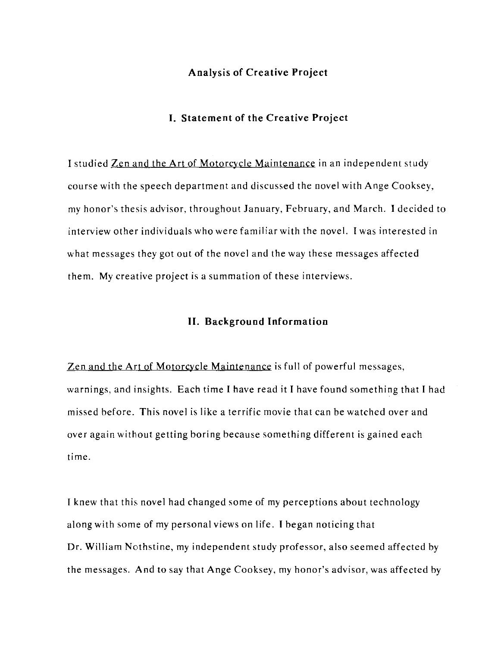# **Analysis of Creative Project**

# **I. Statement of the Creative Project**

I studied Zen and the **Art** of Motorcycle Maintenance in an independent study course with the speech department and discussed the novel with Ange Cooksey, my honor's thesis advisor, throughout January, February, and March. I decided to interview other individuals who were familiar with the novel. I was interested in what messages they got out of the novel and the way these messages affected them. My creative project is a summation of these interviews.

#### **II. Background Information**

Zen and the Art of Motorcycle Maintenance is full of powerful messages, warnings, and insights. Each time I have read it I have found something that I had missed before. This novel is like a terrific movie that can be watched over and over again without getting boring because something different is gained each time.

I knew that this novel had changed some of my perceptions about technology along with some of my personal views on life. I began noticing that Dr. William Nothstine, my independent study professor, also seemed affected by the messages. And to say that Ange Cooksey, my honor's advisor, was affected by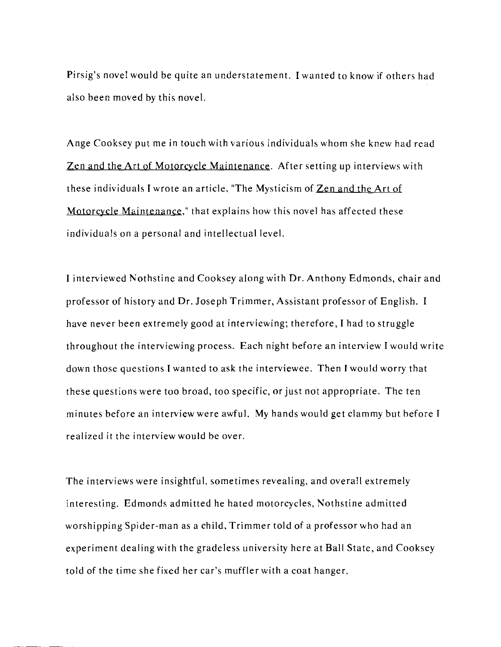Pirsig's novel would be quite an understatement. I wanted to know if others had also been moved by this nove!.

Ange Cooksey put me in touch with various individuals whom she knew had read Zen and the Art of Motorcycle Maintenance. After setting up interviews with these individuals I wrote an article, "The Mysticism of Zen and the Art of Motorcycle Maintenance," that explains how this novel has affected these individuals on a personal and intellectual level.

I interviewed Nothstine and Cooksey along with Dr. Anthony Edmonds, chair and professor of history and Dr. Joseph Trimmer, Assistant professor of English. I have never heen extremely good at interviewing; therefore, I had to struggle throughout the interviewing process. Each night hefore an interview I would write down those questions I wanted to ask the interviewee. Then I would worry that these questions were too broad, too specific, or just not appropriate. The ten minutes before an interview were awful. My hands would get clammy but before I realized it the interview would be over.

The interviews were insightful, sometimes revealing, and overall extremely interesting. Edmonds admitted he hated motorcycles, Nothstine admitted worshipping Spider-man as a child, Trimmer told of a professor who had an experiment dealing with the gradeless university here at Ball State, and Cooksey told of the time she fixed her car's muffler with a coat hanger.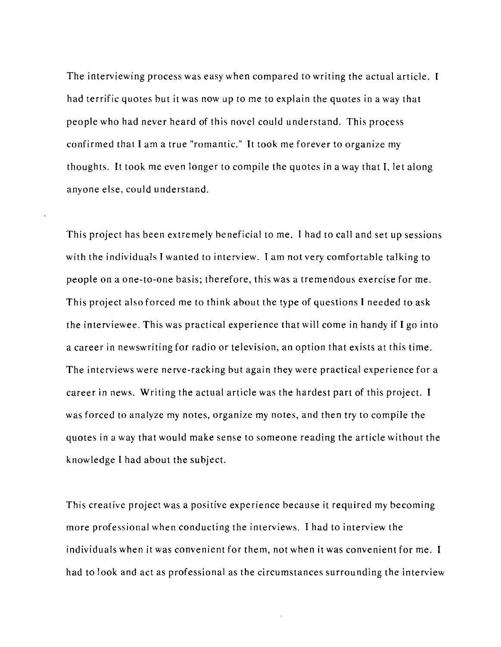The interviewing process was easy when compared to writing the actual article. I had terrific quotes but it was now up to me to explain the quotes in a way that people who had never heard of this novel could understand. This process confirmed that I am a true "romantic." It took me forever to organize my thoughts. It took me even longer to compile the quotes in a way that I. let along anyone else, could understand.

This project has been extremely beneficial to me. I had to call and set up sessions with the individuals I wanted to interview. I am not very comfortable talking to people on a one-to-one basis; therefore, this was a tremendous exercise for me. This project also forced me to think about the type of questions I needed to ask the interviewee. This was practical experience that will come in handy if I go into a career in newswriting for radio or television, an option that exists at this time. The interviews were nerve-racking but again they were practical experience for a career in news. Writing the actual article was the hardest part of this project. I was forced to analyze my notes, organize my notes, and then try to compile the quotes in a way that would make sense to someone reading the article without the knowledge I had about the subject.

This creative project was a positive experience because it required my becoming more professional when conducting the interviews. I had to interview the individuals when it was convenient for them, not when it was convenient for me. I had to look and act as professional as the circumstances surrounding the interview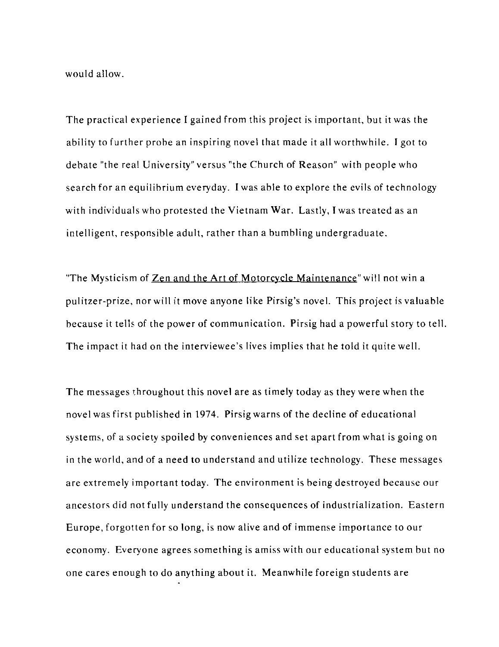would allow.

The practical experience I gained from this project is important, but it was the ability to further probe an inspiring novel that made it all worthwhile. I got to debate "the real University" versus "the Church of Reason" with people who search for an equilibrium everyday. I was able to explore the evils of technology with individuals who protested the Vietnam War. Lastly, I was treated as an intelligent, responsible adult, rather than a bumbling undergraduate.

"The Mysticism of Zen and the Art of Motorcycle Maintenance" will not win a pulitzer-prize, nor will it move anyone like Pirsig's novel. This project is valuable because it tells of the power of communication. Pirsig had a powerful story to tell. The impact it had on the interviewee's lives implies that he told it quite well.

The messages throughout this novel are as timely today as they were when the novel was first published in 1974. Pirsig warns of the decline of educational systems, of a society spoiled by conveniences and set apart from what is going on in the world, and of a need to understand and utilize technology. These messages are extremely important today. The environment is being destroyed because our ancestors did not fully understand the consequences of industrialization. Eastern Europe, forgotten for so long, is now alive and of immense importance to our economy. Everyone agrees something is amiss with our educational system but no one cares enough to do anything about it. Meanwhile foreign students are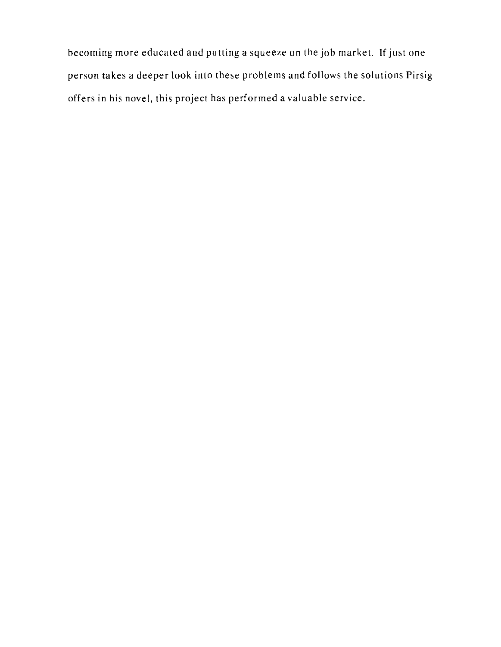becoming more educated and putting a squeeze on the job market. If just one person takes a deeper look into these problems and follows the solutions Pirsig offers in his novel, this project has performed a valuable service.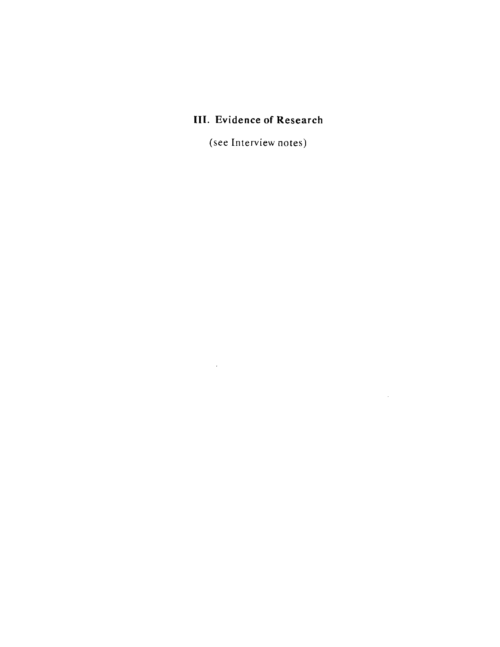# **III. Evidence of Research**

(see Interview notes)

 $\label{eq:2.1} \frac{1}{2} \sum_{i=1}^n \frac{1}{2} \sum_{j=1}^n \frac{1}{2} \sum_{j=1}^n \frac{1}{2} \sum_{j=1}^n \frac{1}{2} \sum_{j=1}^n \frac{1}{2} \sum_{j=1}^n \frac{1}{2} \sum_{j=1}^n \frac{1}{2} \sum_{j=1}^n \frac{1}{2} \sum_{j=1}^n \frac{1}{2} \sum_{j=1}^n \frac{1}{2} \sum_{j=1}^n \frac{1}{2} \sum_{j=1}^n \frac{1}{2} \sum_{j=1}^n \frac{$ 

 $\mathcal{L}^{\text{max}}_{\text{max}}$  and  $\mathcal{L}^{\text{max}}_{\text{max}}$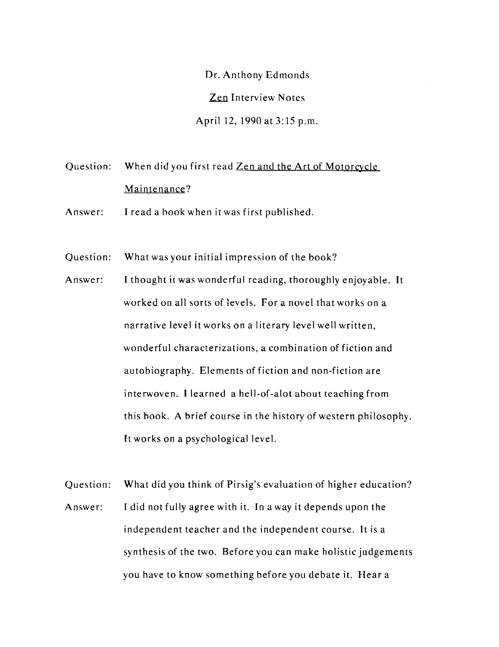Dr. Anthony Edmonds Zen Interview Notes April 12, 1990 at 3:15 p.m.

Question: When did you first read Zen and the Art of Motorcycle Maintenance?

- Answer: I read a book when it was first published.
- Question: What was your initial impression of the book?
- Answer: I thought it was wonderful reading, thoroughly enjoyable. It worked on all sorts of levels. For a novel that works on a narrative level it works on a literary level well written, wonderful characterizations, a combination of fiction and autobiography. Elements of fiction and non-fiction are interwoven. I learned a hell-of-alot about teaching from this book. A brief course in the history of western philosophy. It works on a psychological level.
- Question: What did you think of Pirsig's evaluation of higher education? Answer: I did not fully agree with it. In a way it depends upon the independent teacher and the independent course. It is a synthesis of the two. Before you can make holistic judgements you have to know something before you debate it. Hear a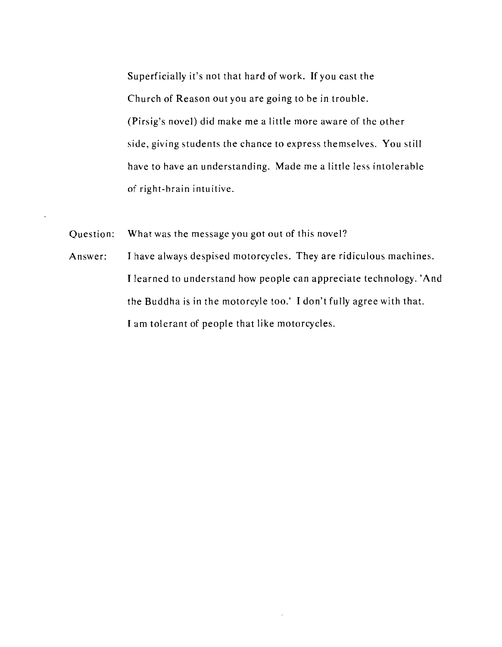Superficially it's not that hard of work. If you cast the Church of Reason out you are going to be in trouble. (Pirsig's novel) did make me a little more aware of the other side, giving students the chance to express themselves. You still have to have an understanding. Made me a little less intolerable of right-brain intuitive.

Question: What was the message you got out of this novel?

Answer: I have always despised motorcycles. They are ridiculous machines. I learned to understand how people can appreciate technology. ' And the Buddha is in the motorcyle too.' I don't fully agree with that. I am tolerant of people that like motorcycles.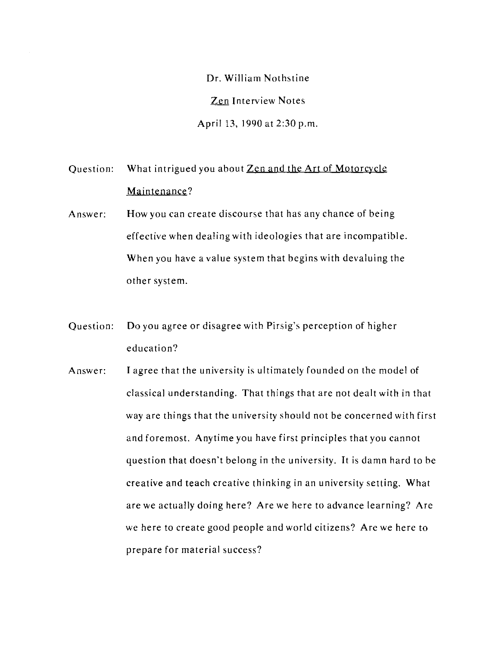Dr. William Nothstine Zen Interview Notes April 13, 1990 at 2:30 p.m.

Question: What intrigued you about Zen and the Art of Motorcycle Maintenance?

- Answer: How you can create discourse that has any chance of being effective when dealing with ideologies that are incompatible. When you have a value system that begins with devaluing the other system.
- Question: Do you agree or disagree with Pirsig's perception of higher education?
- Answer: I agree that the university is ultimately founded on the model of classical understanding. That things that are not dealt with in that way are things that the university should not be concerned with first and foremost. Anytime you have first principles that you cannot question that doesn't belong in the university. It is damn hard to he creative and teach creative thinking in an university setting. What are we actually doing here? Are we here to advance learning? Are we here to create good people and world citizens? Are we here to prepare for material success?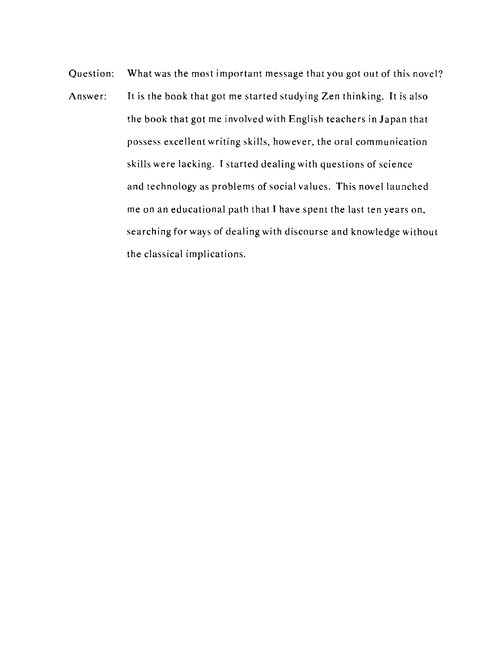Question: What was the most important message that you got out of this novel? Answer: It is the book that got me started studying Zen thinking. It is also the book that got me involved with English teachers in Japan that possess excellent writing skills, however, the oral communication skills were lacking. I started dealing with questions of science and technology as problems of social values. This novel launched me on an educational path that I have spent the last ten years on, searching for ways of dealing with discourse and knowledge without the classical implications.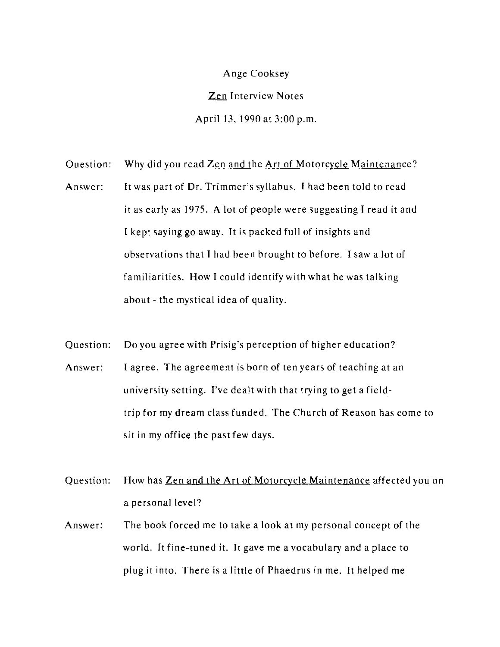Ange Cooksey Zen Interview Notes April 13, 1990 at 3:00 p.m.

Question: Why did you read Zen and the Art of Motorcycle Maintenance?

- Answer: It was part of Dr. Trimmer's syllabus. I had been told to read it as early as 1975. A lot of people were suggesting I read it and I kept saying go away. It is packed full of insights and observations that I had been brought to before. I saw a lot of familiarities. How I could identify with what he was talking about - the mystical idea of quality.
- Question: Do you agree with Prisig's perception of higher education? Answer: I agree. The agreement is born of ten years of teaching at an university setting. I've dealt with that trying to get a fieldtrip for my dream class funded. The Church of Reason has come to sit in my office the past few days.
- Question: How has Zen and the Art of Motorcycle Maintenance affected you on a personal level?
- Answer: The book forced me to take a look at my personal concept of the world. It fine-tuned it. It gave me a vocabulary and a place to plug it into. There is a little of Phaedrus in me. It helped me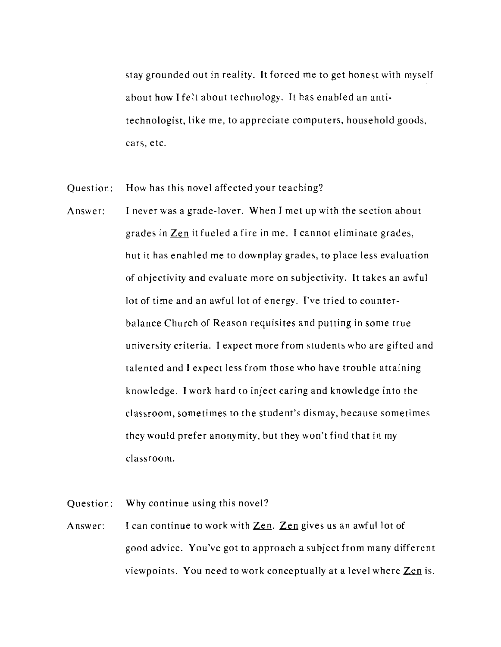stay grounded out in reality. It forced me to get honest with myself about how I felt ahout technology. It has enabled an antitechnologist, like me, to appreciate computers, household goods, cars, etc.

Question: How has this novel affected your teaching?

Answer: I never was a grade-lover. When I met up with the section about grades in Zen it fueled a fire in me. I cannot eliminate grades, hut it has enabled me to downplay grades, to place less evaluation of objectivity and evaluate more on subjectivity. It takes an awful lot of time and an awful lot of energy. I've tried to counterbalance Church of Reason requisites and putting in some true university criteria. I expect more from students who are gifted and talented and I expect less from those who have trouhle attaining knowledge. I work hard to inject caring and knowledge into the classroom, sometimes to the student's dismay, because sometimes they would prefer anonymity, but they won't find that in my classroom.

Question: Why continue using this novel?

Answer: I can continue to work with  $\mathbf{Zen}$ .  $\mathbf{Zen}$  gives us an awful lot of good advice. You've got to approach a subject from many different viewpoints. You need to work conceptually at a level where  $\mathbf{Zen}$  is.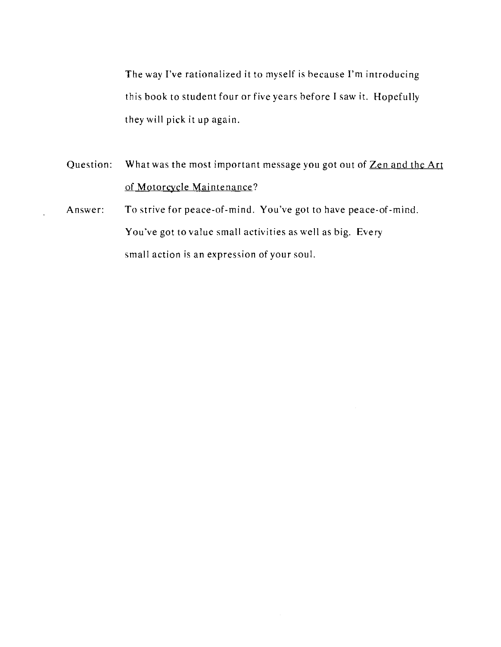The way I've rationalized it to myself is hecause I'm introducing this hook to student four or five years hefore I saw it. Hopefully they will pick it up again.

- Question: What was the most important message you got out of Zen and the Art of Motorcycle Maintenance?
- Answer: To strive for peace-of-mind. You've got to have peace-of-mind. You've got to value small activities as well as big. Every small action is an expression of your soul.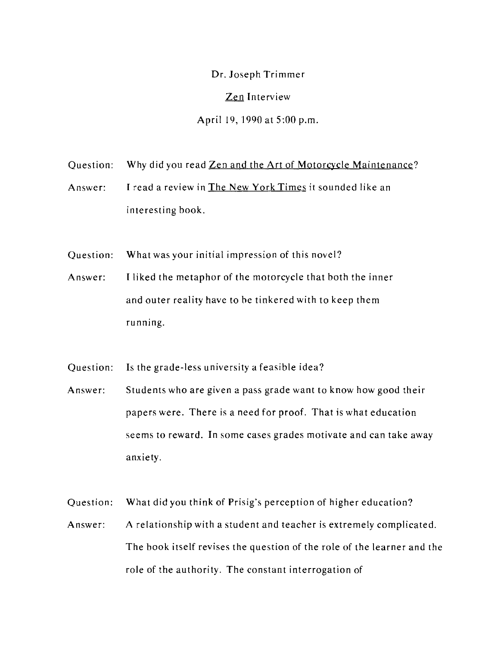Or. Joseph Trimmer

Zen Interview

April 19,1990 at 5:00 p.m.

- Question: Why did you read Zen and the Art of Motorcycle Maintenance?
- Answer: I read a review in The New York Times it sounded like an interesting book.
- Question: What was your initial impression of this novel?
- Answer: Iliked the metaphor of the motorcycle that both the inner and outer reality have to he tinkered with to keep them running.
- Question: Is the grade-less university a feasible idea?
- Answer: Students who are given a pass grade want to know how good their papers were. There is a need for proof. That is what education seems to reward. **In** some cases grades motivate and can take away anxiety.
- Question: What did you think of Prisig's perception of higher education?
- Answer: A relationship with a student and teacher is extremely complicated. The book itself revises the question of the role of the learner and the role of the authority. The constant interrogation of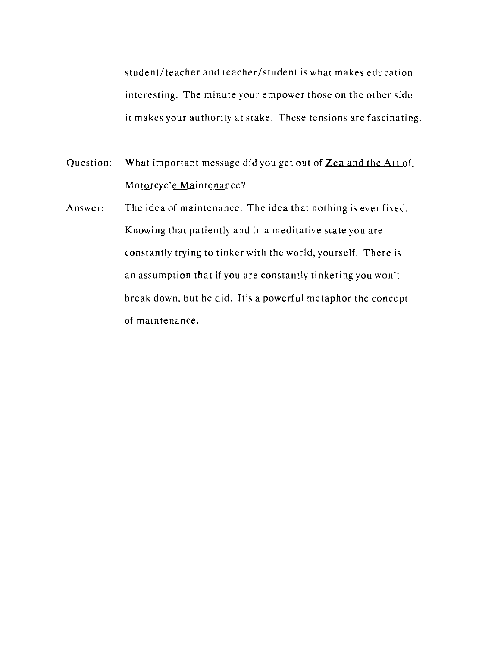student/teacher and teacher/student is what makes education interesting. The minute your empower those on the other side it makes your authority at stake. These tensions are fascinating.

Question: What important message did you get out of Zen and the Art of Motorcycle Maintenance?

Answer: The idea of maintenance. The idea that nothing is ever fixed. Knowing that patiently and in a meditative state you are constantly trying to tinker with the world, yourself. There is an assumption that if you are constantly tinkering you won't break down, but he did. It's a powerful metaphor the concept of maintenance.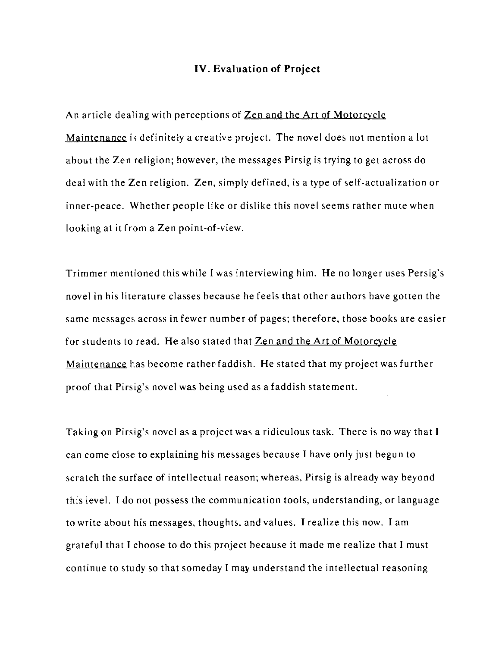## **IV. Evaluation of Project**

An article dealing with perceptions of Zen and the Art of Motorcycle Maintenance is definitely a creative project. The novel does not mention a lot about the Zen religion; however, the messages Pirsig is trying to get across do deal with the Zen religion. Zen, simply defined, is a type of self-actualization or inner-peace. Whether people like or dislike this novel seems rather mute when looking at it from a Zen point-of-view.

Trimmer mentioned this while I was interviewing him. He no longer uses Persig's novel in his literature classes because he feels that other authors have gotten the same messages across in fewer number of pages; therefore, those books are easier for students to read. He also stated that **Zen and the Art of Motorcycle** Maintenance has become ratherfaddish. He stated that my project was further proof that Pirsig's novel was being used as a faddish statement.

Taking on Pirsig's novel as a project was a ridiculous task. There is no way that I can come close to explaining his messages because I have only just begun to scratch the surface of intellectual reason; whereas, Pirsig is already way beyond this level. I do not possess the communication tools, understanding, or language to write about his messages, thoughts, and values. I realize this now. I am grateful that I choose to do this project because it made me realize that I must continue to study so that someday I may understand the intellectual reasoning